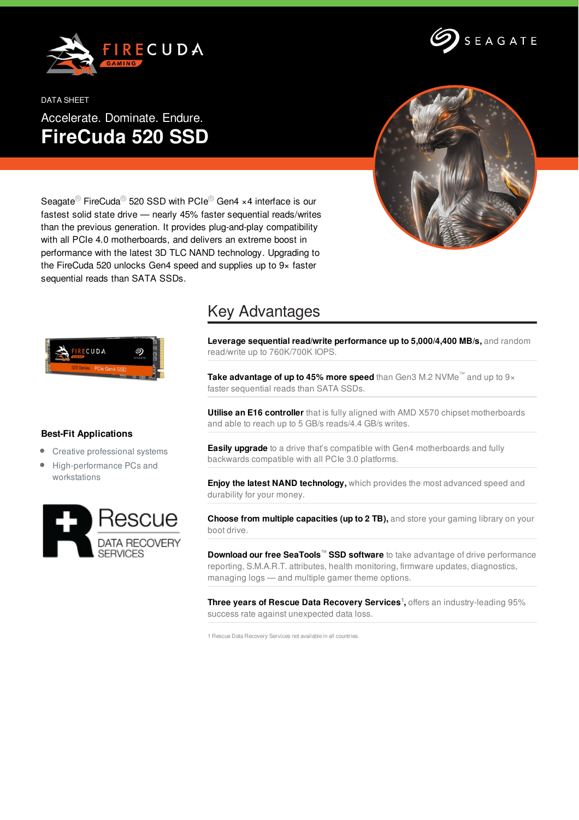



DATA SHEET Accelerate. Dominate. Endure. **FireCuda 520 SSD**



Seagate<sup>®</sup> FireCuda<sup>®</sup> 520 SSD with PCIe<sup>®</sup> Gen4 ×4 interface is our fastest solid state drive — nearly 45% faster sequential reads/writes than the previous generation. It provides plug-and-play compatibility with all PCIe 4.0 motherboards, and delivers an extreme boost in performance with the latest 3D TLC NAND technology. Upgrading to the FireCuda 520 unlocks Gen4 speed and supplies up to 9× faster sequential reads than SATA SSDs.



## **Best-Fit Applications**

- Creative professional systems  $\bullet$
- $\bullet$ High-performance PCs and workstations



## Key Advantages

**Leverage sequential read/write performance up to 5,000/4,400 MB/s,** and random read/write up to 760K/700K IOPS.

**Take advantage of up to 45% more speed** than Gen3 M.2 NVMe™ and up to 9× faster sequential reads than SATA SSDs.

**Utilise an E16 controller** that is fully aligned with AMD X570 chipset motherboards and able to reach up to 5 GB/s reads/4.4 GB/s writes.

**Easily upgrade** to a drive that's compatible with Gen4 motherboards and fully backwards compatible with all PCIe 3.0 platforms.

**Enjoy the latest NAND technology,** which provides the most advanced speed and durability for your money.

**Choose from multiple capacities (up to 2 TB),** and store your gaming library on your boot drive.

**Download our free SeaTools™ SSD software** to take advantage of drive performance reporting, S.M.A.R.T. attributes, health monitoring, firmware updates, diagnostics, managing logs — and multiple gamer theme options.

**Three years of Rescue Data Recovery Services 1 ,** offers an industry-leading 95% success rate against unexpected data loss.

1 Rescue Data Recovery Services not available in all countries.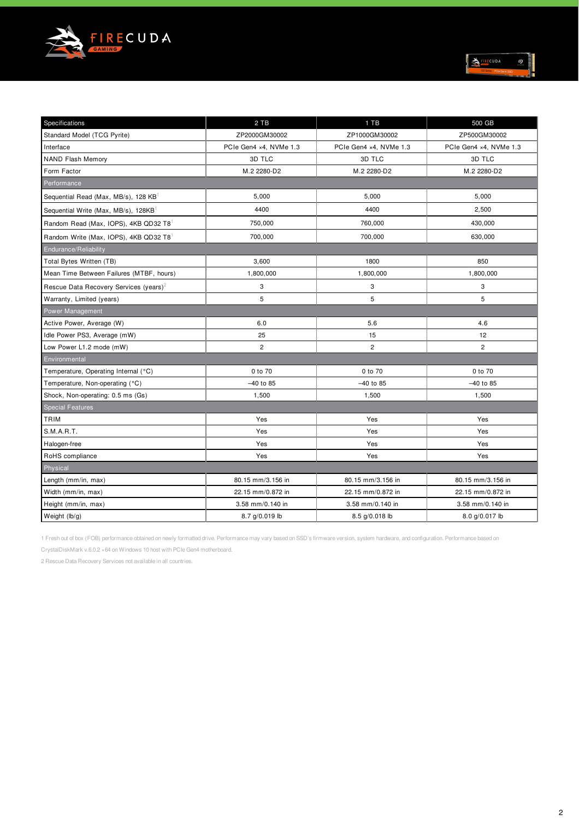

| ۰<br><b>IRECUDA</b> |  | B<br>в |
|---------------------|--|--------|
| PCle Gen4 SSD       |  |        |

| Specifications                                     | 2 TB                   | 1 TB                   | 500 GB                 |  |
|----------------------------------------------------|------------------------|------------------------|------------------------|--|
| Standard Model (TCG Pyrite)                        | ZP2000GM30002          | ZP1000GM30002          | ZP500GM30002           |  |
| Interface                                          | PCIe Gen4 x4, NVMe 1.3 | PCIe Gen4 x4, NVMe 1.3 | PCIe Gen4 x4, NVMe 1.3 |  |
| <b>NAND Flash Memory</b>                           | 3D TLC<br>3D TLC       |                        | 3D TLC                 |  |
| Form Factor                                        | M.2 2280-D2            | M.2 2280-D2            | M.2 2280-D2            |  |
| Performance                                        |                        |                        |                        |  |
| Sequential Read (Max, MB/s), 128 KB                | 5,000                  | 5,000                  | 5,000                  |  |
| Sequential Write (Max, MB/s), 128KB                | 4400                   | 4400                   | 2,500                  |  |
| Random Read (Max, IOPS), 4KB QD32 T8               | 750,000                | 760,000                | 430,000                |  |
| Random Write (Max, IOPS), 4KB QD32 T8              | 700,000                | 700,000                | 630,000                |  |
| Endurance/Reliability                              |                        |                        |                        |  |
| Total Bytes Written (TB)                           | 3,600                  | 1800                   | 850                    |  |
| Mean Time Between Failures (MTBF, hours)           | 1,800,000              | 1,800,000              | 1,800,000              |  |
| Rescue Data Recovery Services (years) <sup>2</sup> | 3                      | 3                      | 3                      |  |
| Warranty, Limited (years)                          | 5                      | 5                      | 5                      |  |
| Power Management                                   |                        |                        |                        |  |
| Active Power, Average (W)                          | 6.0                    | 5.6                    | 4.6                    |  |
| Idle Power PS3, Average (mW)                       | 25                     | 15                     | 12                     |  |
| Low Power L1.2 mode (mW)                           | $\overline{c}$         | $\overline{c}$         | $\overline{2}$         |  |
| Environmental                                      |                        |                        |                        |  |
| Temperature, Operating Internal (°C)               | 0 to 70                | 0 to 70                | 0 to 70                |  |
| Temperature, Non-operating (°C)                    | -40 to 85              | -40 to 85              | $-40$ to 85            |  |
| Shock, Non-operating: 0.5 ms (Gs)                  | 1,500                  | 1,500                  | 1,500                  |  |
| <b>Special Features</b>                            |                        |                        |                        |  |
| TRIM                                               | Yes                    | Yes                    | Yes                    |  |
| S.M.A.R.T.                                         | Yes                    | Yes                    | Yes                    |  |
| Halogen-free                                       | Yes                    | Yes                    | Yes                    |  |
| RoHS compliance                                    | Yes                    | Yes                    | Yes                    |  |
| Physical                                           |                        |                        |                        |  |
| Length (mm/in, max)                                | 80.15 mm/3.156 in      | 80.15 mm/3.156 in      | 80.15 mm/3.156 in      |  |
| Width (mm/in, max)                                 | 22.15 mm/0.872 in      | 22.15 mm/0.872 in      | 22.15 mm/0.872 in      |  |
| Height (mm/in, max)                                | 3.58 mm/0.140 in       | 3.58 mm/0.140 in       | 3.58 mm/0.140 in       |  |
| Weight (lb/g)                                      | 8.7 g/0.019 lb         | 8.5 g/0.018 lb         | 8.0 g/0.017 lb         |  |

1 Fresh out of box (FOB) performance obtained on newly formatted drive. Performance may vary based on SSD's firmware version, system hardware, and configuration. Performance based on

CrystalDiskMark v.6.0.2 ×64 on Windows 10 host with PCIe Gen4 motherboard.

2 Rescue Data Recovery Services not available in all countries.